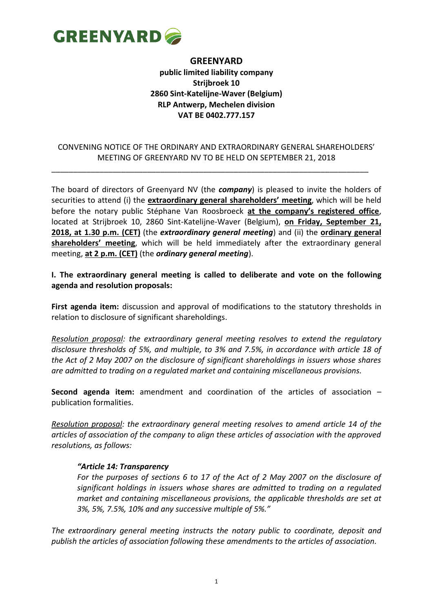

## **GREENYARD public limited liability company Strijbroek 10 2860 Sint-Katelijne-Waver (Belgium) RLP Antwerp, Mechelen division VAT BE 0402.777.157**

## CONVENING NOTICE OF THE ORDINARY AND EXTRAORDINARY GENERAL SHAREHOLDERS' MEETING OF GREENYARD NV TO BE HELD ON SEPTEMBER 21, 2018

\_\_\_\_\_\_\_\_\_\_\_\_\_\_\_\_\_\_\_\_\_\_\_\_\_\_\_\_\_\_\_\_\_\_\_\_\_\_\_\_\_\_\_\_\_\_\_\_\_\_\_\_\_\_\_\_\_\_\_\_\_\_\_\_\_\_\_\_\_\_\_\_\_

The board of directors of Greenyard NV (the *company*) is pleased to invite the holders of securities to attend (i) the **extraordinary general shareholders' meeting**, which will be held before the notary public Stéphane Van Roosbroeck **at the company's registered office**, located at Strijbroek 10, 2860 Sint-Katelijne-Waver (Belgium), **on Friday, September 21, 2018, at 1.30 p.m. (CET)** (the *extraordinary general meeting*) and (ii) the **ordinary general shareholders' meeting**, which will be held immediately after the extraordinary general meeting, **at 2 p.m. (CET)** (the *ordinary general meeting*).

### **I. The extraordinary general meeting is called to deliberate and vote on the following agenda and resolution proposals:**

**First agenda item:** discussion and approval of modifications to the statutory thresholds in relation to disclosure of significant shareholdings.

*Resolution proposal: the extraordinary general meeting resolves to extend the regulatory disclosure thresholds of 5%, and multiple, to 3% and 7.5%, in accordance with article 18 of the Act of 2 May 2007 on the disclosure of significant shareholdings in issuers whose shares are admitted to trading on a regulated market and containing miscellaneous provisions.*

**Second agenda item:** amendment and coordination of the articles of association – publication formalities.

*Resolution proposal: the extraordinary general meeting resolves to amend article 14 of the articles of association of the company to align these articles of association with the approved resolutions, as follows:*

### *"Article 14: Transparency*

*For the purposes of sections 6 to 17 of the Act of 2 May 2007 on the disclosure of significant holdings in issuers whose shares are admitted to trading on a regulated market and containing miscellaneous provisions, the applicable thresholds are set at 3%, 5%, 7.5%, 10% and any successive multiple of 5%."*

*The extraordinary general meeting instructs the notary public to coordinate, deposit and publish the articles of association following these amendments to the articles of association.*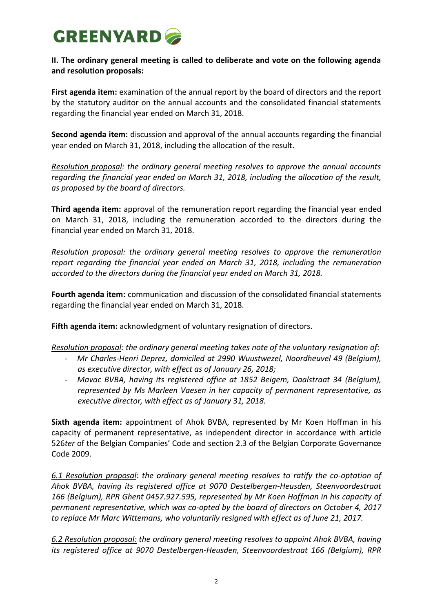# **GREENYARD**

## **II. The ordinary general meeting is called to deliberate and vote on the following agenda and resolution proposals:**

First agenda item: examination of the annual report by the board of directors and the report by the statutory auditor on the annual accounts and the consolidated financial statements regarding the financial year ended on March 31, 2018.

**Second agenda item:** discussion and approval of the annual accounts regarding the financial year ended on March 31, 2018, including the allocation of the result.

*Resolution proposal: the ordinary general meeting resolves to approve the annual accounts regarding the financial year ended on March 31, 2018, including the allocation of the result, as proposed by the board of directors.*

**Third agenda item:** approval of the remuneration report regarding the financial year ended on March 31, 2018, including the remuneration accorded to the directors during the financial year ended on March 31, 2018.

*Resolution proposal: the ordinary general meeting resolves to approve the remuneration report regarding the financial year ended on March 31, 2018, including the remuneration accorded to the directors during the financial year ended on March 31, 2018.*

**Fourth agenda item:** communication and discussion of the consolidated financial statements regarding the financial year ended on March 31, 2018.

**Fifth agenda item:** acknowledgment of voluntary resignation of directors.

*Resolution proposal: the ordinary general meeting takes note of the voluntary resignation of:*

- *Mr Charles-Henri Deprez, domiciled at 2990 Wuustwezel, Noordheuvel 49 (Belgium), as executive director, with effect as of January 26, 2018;*
- *Mavac BVBA, having its registered office at 1852 Beigem, Daalstraat 34 (Belgium), represented by Ms Marleen Vaesen in her capacity of permanent representative, as executive director, with effect as of January 31, 2018.*

**Sixth agenda item:** appointment of Ahok BVBA, represented by Mr Koen Hoffman in his capacity of permanent representative, as independent director in accordance with article 526*ter* of the Belgian Companies' Code and section 2.3 of the Belgian Corporate Governance Code 2009.

*6.1 Resolution proposal*: *the ordinary general meeting resolves to ratify the co-optation of Ahok BVBA, having its registered office at 9070 Destelbergen-Heusden, Steenvoordestraat 166 (Belgium), RPR Ghent 0457.927.595, represented by Mr Koen Hoffman in his capacity of permanent representative, which was co-opted by the board of directors on October 4, 2017 to replace Mr Marc Wittemans, who voluntarily resigned with effect as of June 21, 2017.*

*6.2 Resolution proposal: the ordinary general meeting resolves to appoint Ahok BVBA, having its registered office at 9070 Destelbergen-Heusden, Steenvoordestraat 166 (Belgium), RPR*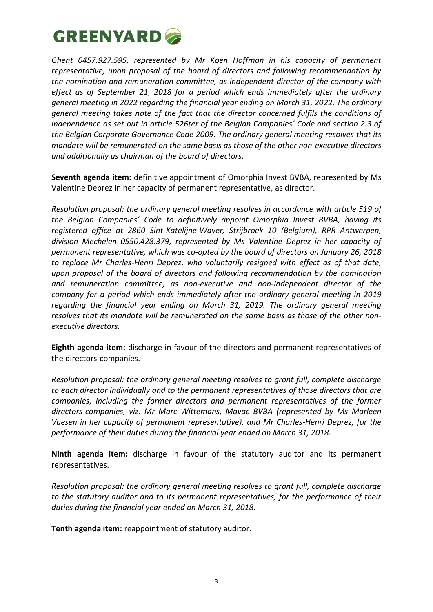

*Ghent 0457.927.595, represented by Mr Koen Hoffman in his capacity of permanent representative, upon proposal of the board of directors and following recommendation by the nomination and remuneration committee, as independent director of the company with effect as of September 21, 2018 for a period which ends immediately after the ordinary general meeting in 2022 regarding the financial year ending on March 31, 2022. The ordinary general meeting takes note of the fact that the director concerned fulfils the conditions of independence as set out in article 526ter of the Belgian Companies' Code and section 2.3 of the Belgian Corporate Governance Code 2009. The ordinary general meeting resolves that its mandate will be remunerated on the same basis as those of the other non-executive directors and additionally as chairman of the board of directors.*

**Seventh agenda item:** definitive appointment of Omorphia Invest BVBA, represented by Ms Valentine Deprez in her capacity of permanent representative, as director.

*Resolution proposal: the ordinary general meeting resolves in accordance with article 519 of the Belgian Companies' Code to definitively appoint Omorphia Invest BVBA, having its registered office at 2860 Sint-Katelijne-Waver, Strijbroek 10 (Belgium), RPR Antwerpen, division Mechelen 0550.428.379, represented by Ms Valentine Deprez in her capacity of permanent representative, which was co-opted by the board of directors on January 26, 2018 to replace Mr Charles-Henri Deprez, who voluntarily resigned with effect as of that date, upon proposal of the board of directors and following recommendation by the nomination and remuneration committee, as non-executive and non-independent director of the company for a period which ends immediately after the ordinary general meeting in 2019 regarding the financial year ending on March 31, 2019. The ordinary general meeting resolves that its mandate will be remunerated on the same basis as those of the other nonexecutive directors.*

**Eighth agenda item:** discharge in favour of the directors and permanent representatives of the directors-companies.

*Resolution proposal: the ordinary general meeting resolves to grant full, complete discharge to each director individually and to the permanent representatives of those directors that are companies, including the former directors and permanent representatives of the former directors-companies, viz. Mr Marc Wittemans, Mavac BVBA (represented by Ms Marleen Vaesen in her capacity of permanent representative), and Mr Charles-Henri Deprez, for the performance of their duties during the financial year ended on March 31, 2018.*

**Ninth agenda item:** discharge in favour of the statutory auditor and its permanent representatives.

*Resolution proposal: the ordinary general meeting resolves to grant full, complete discharge to the statutory auditor and to its permanent representatives, for the performance of their duties during the financial year ended on March 31, 2018.*

**Tenth agenda item:** reappointment of statutory auditor.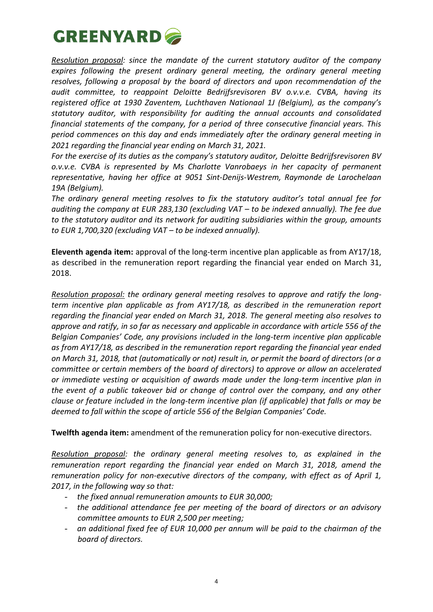

*Resolution proposal: since the mandate of the current statutory auditor of the company expires following the present ordinary general meeting, the ordinary general meeting resolves, following a proposal by the board of directors and upon recommendation of the audit committee, to reappoint Deloitte Bedrijfsrevisoren BV o.v.v.e. CVBA, having its registered office at 1930 Zaventem, Luchthaven Nationaal 1J (Belgium), as the company's statutory auditor, with responsibility for auditing the annual accounts and consolidated financial statements of the company, for a period of three consecutive financial years. This period commences on this day and ends immediately after the ordinary general meeting in 2021 regarding the financial year ending on March 31, 2021.*

*For the exercise of its duties as the company's statutory auditor, Deloitte Bedrijfsrevisoren BV o.v.v.e. CVBA is represented by Ms Charlotte Vanrobaeys in her capacity of permanent representative, having her office at 9051 Sint-Denijs-Westrem, Raymonde de Larochelaan 19A (Belgium).*

*The ordinary general meeting resolves to fix the statutory auditor's total annual fee for auditing the company at EUR 283,130 (excluding VAT – to be indexed annually). The fee due to the statutory auditor and its network for auditing subsidiaries within the group, amounts to EUR 1,700,320 (excluding VAT – to be indexed annually).*

**Eleventh agenda item:** approval of the long-term incentive plan applicable as from AY17/18, as described in the remuneration report regarding the financial year ended on March 31, 2018.

*Resolution proposal: the ordinary general meeting resolves to approve and ratify the longterm incentive plan applicable as from AY17/18, as described in the remuneration report regarding the financial year ended on March 31, 2018. The general meeting also resolves to approve and ratify, in so far as necessary and applicable in accordance with article 556 of the Belgian Companies' Code, any provisions included in the long-term incentive plan applicable as from AY17/18, as described in the remuneration report regarding the financial year ended on March 31, 2018, that (automatically or not) result in, or permit the board of directors (or a committee or certain members of the board of directors) to approve or allow an accelerated or immediate vesting or acquisition of awards made under the long-term incentive plan in the event of a public takeover bid or change of control over the company, and any other clause or feature included in the long-term incentive plan (if applicable) that falls or may be deemed to fall within the scope of article 556 of the Belgian Companies' Code.*

**Twelfth agenda item:** amendment of the remuneration policy for non-executive directors.

*Resolution proposal: the ordinary general meeting resolves to, as explained in the remuneration report regarding the financial year ended on March 31, 2018, amend the remuneration policy for non-executive directors of the company, with effect as of April 1, 2017, in the following way so that:*

- *the fixed annual remuneration amounts to EUR 30,000;*
- *the additional attendance fee per meeting of the board of directors or an advisory committee amounts to EUR 2,500 per meeting;*
- *an additional fixed fee of EUR 10,000 per annum will be paid to the chairman of the board of directors.*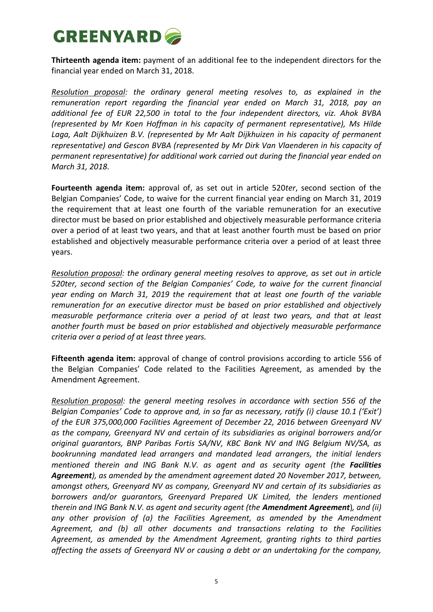## **GREENYARD**

**Thirteenth agenda item:** payment of an additional fee to the independent directors for the financial year ended on March 31, 2018.

*Resolution proposal: the ordinary general meeting resolves to, as explained in the remuneration report regarding the financial year ended on March 31, 2018, pay an additional fee of EUR 22,500 in total to the four independent directors, viz. Ahok BVBA (represented by Mr Koen Hoffman in his capacity of permanent representative), Ms Hilde Laga, Aalt Dijkhuizen B.V. (represented by Mr Aalt Dijkhuizen in his capacity of permanent representative) and Gescon BVBA (represented by Mr Dirk Van Vlaenderen in his capacity of permanent representative) for additional work carried out during the financial year ended on March 31, 2018.*

**Fourteenth agenda item:** approval of, as set out in article 520*ter*, second section of the Belgian Companies' Code, to waive for the current financial year ending on March 31, 2019 the requirement that at least one fourth of the variable remuneration for an executive director must be based on prior established and objectively measurable performance criteria over a period of at least two years, and that at least another fourth must be based on prior established and objectively measurable performance criteria over a period of at least three years.

*Resolution proposal: the ordinary general meeting resolves to approve, as set out in article 520ter, second section of the Belgian Companies' Code, to waive for the current financial year ending on March 31, 2019 the requirement that at least one fourth of the variable remuneration for an executive director must be based on prior established and objectively measurable performance criteria over a period of at least two years, and that at least another fourth must be based on prior established and objectively measurable performance criteria over a period of at least three years.*

**Fifteenth agenda item:** approval of change of control provisions according to article 556 of the Belgian Companies' Code related to the Facilities Agreement, as amended by the Amendment Agreement.

*Resolution proposal: the general meeting resolves in accordance with section 556 of the Belgian Companies' Code to approve and, in so far as necessary, ratify (i) clause 10.1 ('Exit') of the EUR 375,000,000 Facilities Agreement of December 22, 2016 between Greenyard NV as the company, Greenyard NV and certain of its subsidiaries as original borrowers and/or original guarantors, BNP Paribas Fortis SA/NV, KBC Bank NV and ING Belgium NV/SA, as bookrunning mandated lead arrangers and mandated lead arrangers, the initial lenders mentioned therein and ING Bank N.V. as agent and as security agent (the Facilities Agreement), as amended by the amendment agreement dated 20 November 2017, between, amongst others, Greenyard NV as company, Greenyard NV and certain of its subsidiaries as borrowers and/or guarantors, Greenyard Prepared UK Limited, the lenders mentioned therein and ING Bank N.V. as agent and security agent (the Amendment Agreement*)*, and (ii) any other provision of (a) the Facilities Agreement, as amended by the Amendment Agreement, and (b) all other documents and transactions relating to the Facilities Agreement, as amended by the Amendment Agreement, granting rights to third parties affecting the assets of Greenyard NV or causing a debt or an undertaking for the company,*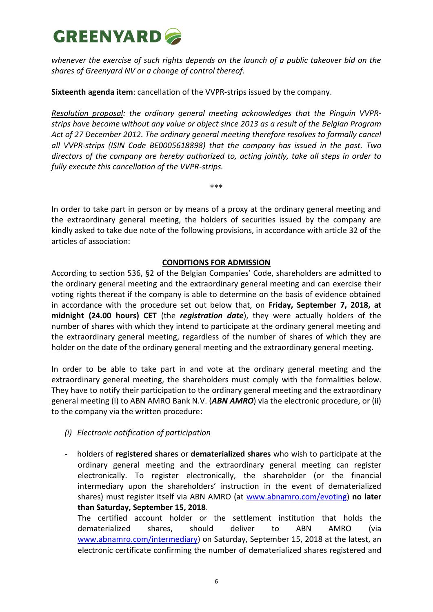

*whenever the exercise of such rights depends on the launch of a public takeover bid on the shares of Greenyard NV or a change of control thereof.* 

**Sixteenth agenda item**: cancellation of the VVPR-strips issued by the company.

*Resolution proposal: the ordinary general meeting acknowledges that the Pinguin VVPRstrips have become without any value or object since 2013 as a result of the Belgian Program Act of 27 December 2012. The ordinary general meeting therefore resolves to formally cancel all VVPR-strips (ISIN Code BE0005618898) that the company has issued in the past. Two directors of the company are hereby authorized to, acting jointly, take all steps in order to fully execute this cancellation of the VVPR-strips.*

In order to take part in person or by means of a proxy at the ordinary general meeting and the extraordinary general meeting, the holders of securities issued by the company are kindly asked to take due note of the following provisions, in accordance with article 32 of the articles of association:

\*\*\*

### **CONDITIONS FOR ADMISSION**

According to section 536, §2 of the Belgian Companies' Code, shareholders are admitted to the ordinary general meeting and the extraordinary general meeting and can exercise their voting rights thereat if the company is able to determine on the basis of evidence obtained in accordance with the procedure set out below that, on **Friday, September 7, 2018, at midnight (24.00 hours) CET** (the *registration date*), they were actually holders of the number of shares with which they intend to participate at the ordinary general meeting and the extraordinary general meeting, regardless of the number of shares of which they are holder on the date of the ordinary general meeting and the extraordinary general meeting.

In order to be able to take part in and vote at the ordinary general meeting and the extraordinary general meeting, the shareholders must comply with the formalities below. They have to notify their participation to the ordinary general meeting and the extraordinary general meeting (i) to ABN AMRO Bank N.V. (*ABN AMRO*) via the electronic procedure, or (ii) to the company via the written procedure:

- *(i) Electronic notification of participation*
- holders of **registered shares** or **dematerialized shares** who wish to participate at the ordinary general meeting and the extraordinary general meeting can register electronically. To register electronically, the shareholder (or the financial intermediary upon the shareholders' instruction in the event of dematerialized shares) must register itself via ABN AMRO (at [www.abnamro.com/evoting\)](http://www.abnamro.com/evoting) **no later than Saturday, September 15, 2018**.

The certified account holder or the settlement institution that holds the dematerialized shares, should deliver to ABN AMRO (via [www.abnamro.com/intermediary\)](http://www.abnamro.com/intermediary) on Saturday, September 15, 2018 at the latest, an electronic certificate confirming the number of dematerialized shares registered and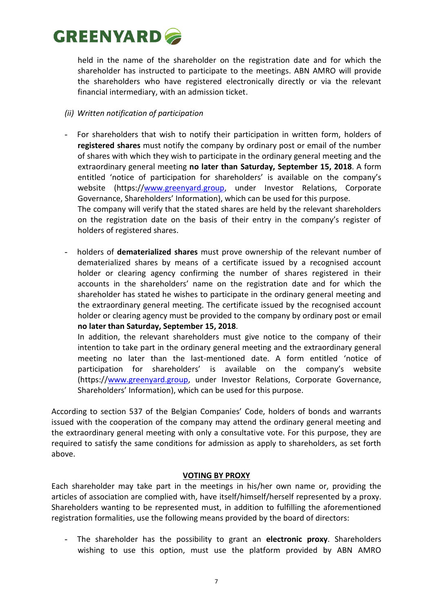## **GREENYARD**

held in the name of the shareholder on the registration date and for which the shareholder has instructed to participate to the meetings. ABN AMRO will provide the shareholders who have registered electronically directly or via the relevant financial intermediary, with an admission ticket.

### *(ii) Written notification of participation*

- For shareholders that wish to notify their participation in written form, holders of **registered shares** must notify the company by ordinary post or email of the number of shares with which they wish to participate in the ordinary general meeting and the extraordinary general meeting **no later than Saturday, September 15, 2018**. A form entitled 'notice of participation for shareholders' is available on the company's website (https:/[/www.greenyard.group,](http://www.greenyard.group/) under Investor Relations, Corporate Governance, Shareholders' Information), which can be used for this purpose. The company will verify that the stated shares are held by the relevant shareholders on the registration date on the basis of their entry in the company's register of holders of registered shares.
- holders of **dematerialized shares** must prove ownership of the relevant number of dematerialized shares by means of a certificate issued by a recognised account holder or clearing agency confirming the number of shares registered in their accounts in the shareholders' name on the registration date and for which the shareholder has stated he wishes to participate in the ordinary general meeting and the extraordinary general meeting. The certificate issued by the recognised account holder or clearing agency must be provided to the company by ordinary post or email **no later than Saturday, September 15, 2018**.

In addition, the relevant shareholders must give notice to the company of their intention to take part in the ordinary general meeting and the extraordinary general meeting no later than the last-mentioned date. A form entitled 'notice of participation for shareholders' is available on the company's website (https:/[/www.greenyard.group,](http://www.greenyard.group/) under Investor Relations, Corporate Governance, Shareholders' Information), which can be used for this purpose.

According to section 537 of the Belgian Companies' Code, holders of bonds and warrants issued with the cooperation of the company may attend the ordinary general meeting and the extraordinary general meeting with only a consultative vote. For this purpose, they are required to satisfy the same conditions for admission as apply to shareholders, as set forth above.

### **VOTING BY PROXY**

Each shareholder may take part in the meetings in his/her own name or, providing the articles of association are complied with, have itself/himself/herself represented by a proxy. Shareholders wanting to be represented must, in addition to fulfilling the aforementioned registration formalities, use the following means provided by the board of directors:

- The shareholder has the possibility to grant an **electronic proxy**. Shareholders wishing to use this option, must use the platform provided by ABN AMRO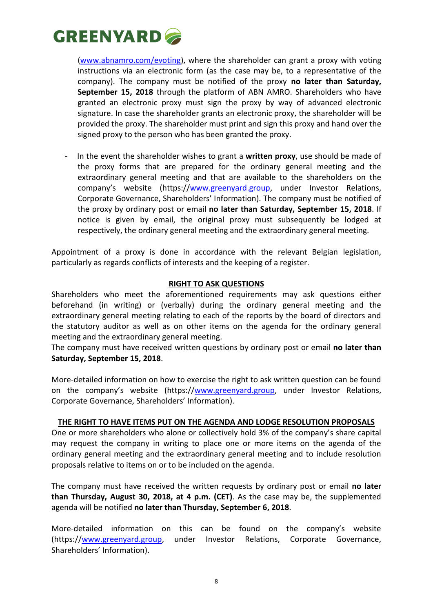

[\(www.abnamro.com/evoting\)](http://www.abnamro.com/evoting), where the shareholder can grant a proxy with voting instructions via an electronic form (as the case may be, to a representative of the company). The company must be notified of the proxy **no later than Saturday, September 15, 2018** through the platform of ABN AMRO. Shareholders who have granted an electronic proxy must sign the proxy by way of advanced electronic signature. In case the shareholder grants an electronic proxy, the shareholder will be provided the proxy. The shareholder must print and sign this proxy and hand over the signed proxy to the person who has been granted the proxy.

- In the event the shareholder wishes to grant a **written proxy**, use should be made of the proxy forms that are prepared for the ordinary general meeting and the extraordinary general meeting and that are available to the shareholders on the company's website (https:/[/www.greenyard.group,](http://www.greenyard.group/) under Investor Relations, Corporate Governance, Shareholders' Information). The company must be notified of the proxy by ordinary post or email **no later than Saturday, September 15, 2018**. If notice is given by email, the original proxy must subsequently be lodged at respectively, the ordinary general meeting and the extraordinary general meeting.

Appointment of a proxy is done in accordance with the relevant Belgian legislation, particularly as regards conflicts of interests and the keeping of a register.

### **RIGHT TO ASK QUESTIONS**

Shareholders who meet the aforementioned requirements may ask questions either beforehand (in writing) or (verbally) during the ordinary general meeting and the extraordinary general meeting relating to each of the reports by the board of directors and the statutory auditor as well as on other items on the agenda for the ordinary general meeting and the extraordinary general meeting.

The company must have received written questions by ordinary post or email **no later than Saturday, September 15, 2018**.

More-detailed information on how to exercise the right to ask written question can be found on the company's website (https:/[/www.greenyard.group,](http://www.greenyard.group/) under Investor Relations, Corporate Governance, Shareholders' Information).

#### **THE RIGHT TO HAVE ITEMS PUT ON THE AGENDA AND LODGE RESOLUTION PROPOSALS**

One or more shareholders who alone or collectively hold 3% of the company's share capital may request the company in writing to place one or more items on the agenda of the ordinary general meeting and the extraordinary general meeting and to include resolution proposals relative to items on or to be included on the agenda.

The company must have received the written requests by ordinary post or email **no later than Thursday, August 30, 2018, at 4 p.m. (CET)**. As the case may be, the supplemented agenda will be notified **no later than Thursday, September 6, 2018**.

More-detailed information on this can be found on the company's website (https:/[/www.greenyard.group,](http://www.greenyard.group/) under Investor Relations, Corporate Governance, Shareholders' Information).